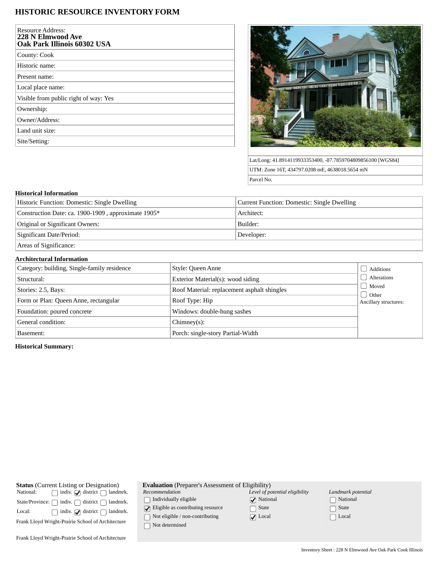## **HISTORIC RESOURCE INVENTORY FORM**

| <b>Resource Address:</b><br>228 N Elmwood Ave<br><b>Oak Park Illinois 60302 USA</b> |  |
|-------------------------------------------------------------------------------------|--|
| County: Cook                                                                        |  |
| Historic name:                                                                      |  |
| Present name:                                                                       |  |
| Local place name:                                                                   |  |
| Visible from public right of way: Yes                                               |  |
| Ownership:                                                                          |  |
| Owner/Address:                                                                      |  |
| Land unit size:                                                                     |  |
| Site/Setting:                                                                       |  |



Lat/Long: 41.8914119933353400, -87.7859704809856100 [WGS84] UTM: Zone 16T, 434797.0208 mE, 4638018.5654 mN Parcel No.

## **Historical Information**

| Historic Function: Domestic: Single Dwelling        | Current Function: Domestic: Single Dwelling |  |
|-----------------------------------------------------|---------------------------------------------|--|
| Construction Date: ca. 1900-1909, approximate 1905* | Architect:                                  |  |
| Original or Significant Owners:                     | Builder:                                    |  |
| Significant Date/Period:                            | Developer:                                  |  |
|                                                     |                                             |  |

Areas of Significance:

## **Architectural Information**

| Category: building, Single-family residence | Style: Queen Anne                           | Additions                               |
|---------------------------------------------|---------------------------------------------|-----------------------------------------|
| Structural:                                 | Exterior Material(s): wood siding           | <b>Alterations</b>                      |
| Stories: 2.5, Bays:                         | Roof Material: replacement asphalt shingles | Moved<br>Other<br>Ancillary structures: |
| Form or Plan: Queen Anne, rectangular       | Roof Type: Hip                              |                                         |
| Foundation: poured concrete                 | Windows: double-hung sashes                 |                                         |
| General condition:                          | $Chimney(s)$ :                              |                                         |
| Basement:                                   | Porch: single-story Partial-Width           |                                         |

**Historical Summary:**

| National:                                         | <b>Status</b> (Current Listing or Designation)<br>$\Box$ indiv. $\Box$ district $\Box$ landmrk. |  |  |
|---------------------------------------------------|-------------------------------------------------------------------------------------------------|--|--|
|                                                   | State/Province: $\bigcap$ indiv. $\bigcap$ district $\bigcap$ landmrk.                          |  |  |
| Local:                                            | $\Box$ indiv. $\Box$ district $\Box$ landmrk.                                                   |  |  |
| Frank Lloyd Wright-Prairie School of Architecture |                                                                                                 |  |  |
| Frank Lloyd Wright-Prairie School of Architecture |                                                                                                 |  |  |

**Evaluation** (Preparer's Assessment of Eligibility)  $Level$ 

*Recommendation*  $\hfill\textstyle\bigcap\textstyle\textstyle\bigcap\textstyle\textstyle\bigcap\textstyle\textstyle\textstyle\bigcap\textstyle\textstyle\big$ 

 $\bigcirc$  Eligible as contributing resource  $\hfill\textcolor{red}{\bigcirc}$  Not eligible / non-contributing

 $\bigcap$  Not determined

| Level of potential eligibility |
|--------------------------------|
| $\sqrt{\phantom{a}}$ National  |
| $\bigcap$ State                |
| $\sqrt{\phantom{a}}$ Local     |

| Landmark potential         |
|----------------------------|
| □ National                 |
| $\lceil \ \rceil$ State    |
| $\lceil \;\; \rceil$ Local |